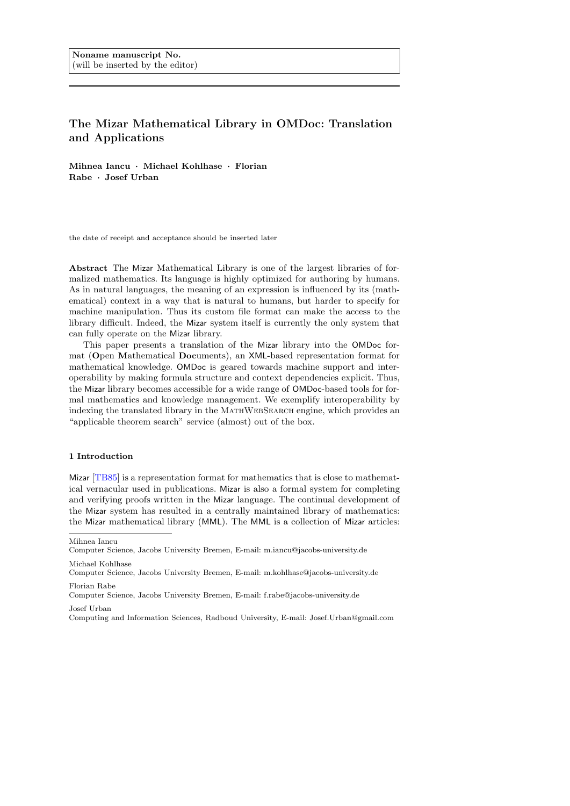# The Mizar Mathematical Library in OMDoc: Translation and Applications

Mihnea Iancu · Michael Kohlhase · Florian Rabe · Josef Urban

the date of receipt and acceptance should be inserted later

Abstract The Mizar Mathematical Library is one of the largest libraries of formalized mathematics. Its language is highly optimized for authoring by humans. As in natural languages, the meaning of an expression is influenced by its (mathematical) context in a way that is natural to humans, but harder to specify for machine manipulation. Thus its custom file format can make the access to the library difficult. Indeed, the Mizar system itself is currently the only system that can fully operate on the Mizar library.

This paper presents a translation of the Mizar library into the OMDoc format (Open Mathematical Documents), an XML-based representation format for mathematical knowledge. OMDoc is geared towards machine support and interoperability by making formula structure and context dependencies explicit. Thus, the Mizar library becomes accessible for a wide range of OMDoc-based tools for formal mathematics and knowledge management. We exemplify interoperability by indexing the translated library in the MathWebSearch engine, which provides an "applicable theorem search" service (almost) out of the box.

#### 1 Introduction

Mizar [\[TB85\]](#page-11-0) is a representation format for mathematics that is close to mathematical vernacular used in publications. Mizar is also a formal system for completing and verifying proofs written in the Mizar language. The continual development of the Mizar system has resulted in a centrally maintained library of mathematics: the Mizar mathematical library (MML). The MML is a collection of Mizar articles:

Mihnea Iancu

Computer Science, Jacobs University Bremen, E-mail: f.rabe@jacobs-university.de Josef Urban

Computer Science, Jacobs University Bremen, E-mail: m.iancu@jacobs-university.de Michael Kohlhase

Computer Science, Jacobs University Bremen, E-mail: m.kohlhase@jacobs-university.de Florian Rabe

Computing and Information Sciences, Radboud University, E-mail: Josef.Urban@gmail.com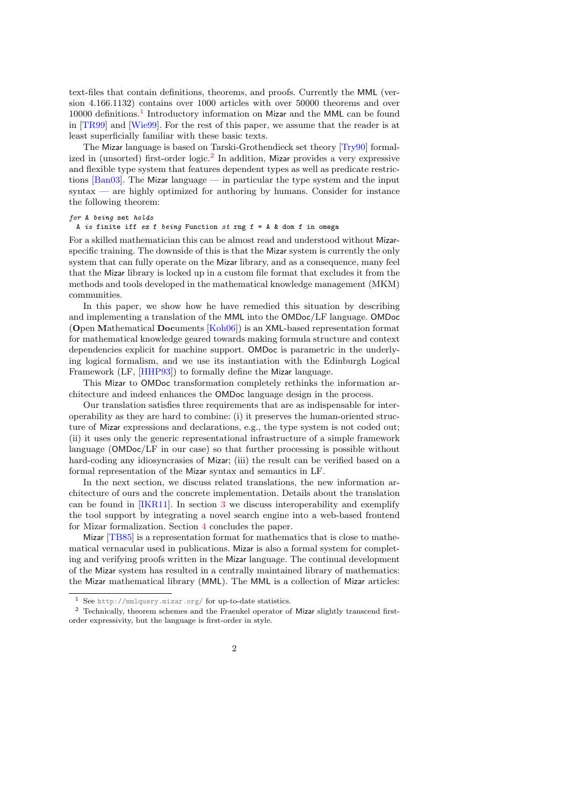text-files that contain definitions, theorems, and proofs. Currently the MML (version 4.166.1132) contains over 1000 articles with over 50000 theorems and over [1](#page-1-0)0000 definitions.<sup>1</sup> Introductory information on Mizar and the MML can be found in [\[TR99\]](#page-11-1) and [\[Wie99\]](#page-11-2). For the rest of this paper, we assume that the reader is at least superficially familiar with these basic texts.

The Mizar language is based on Tarski-Grothendieck set theory [\[Try90\]](#page-11-3) formal-ized in (unsorted) first-order logic.<sup>[2](#page-1-1)</sup> In addition, Mizar provides a very expressive and flexible type system that features dependent types as well as predicate restrictions [\[Ban03\]](#page-10-0). The Mizar language — in particular the type system and the input syntax — are highly optimized for authoring by humans. Consider for instance the following theorem:

#### for A being set holds

A is finite iff  $ex f$  being Function  $st$  rng  $f = A$  & dom  $f$  in omega

For a skilled mathematician this can be almost read and understood without Mizarspecific training. The downside of this is that the Mizar system is currently the only system that can fully operate on the Mizar library, and as a consequence, many feel that the Mizar library is locked up in a custom file format that excludes it from the methods and tools developed in the mathematical knowledge management (MKM) communities.

In this paper, we show how he have remedied this situation by describing and implementing a translation of the MML into the OMDoc/LF language. OMDoc (Open Mathematical Documents [\[Koh06\]](#page-11-4)) is an XML-based representation format for mathematical knowledge geared towards making formula structure and context dependencies explicit for machine support. OMDoc is parametric in the underlying logical formalism, and we use its instantiation with the Edinburgh Logical Framework (LF, [\[HHP93\]](#page-11-5)) to formally define the Mizar language.

This Mizar to OMDoc transformation completely rethinks the information architecture and indeed enhances the OMDoc language design in the process.

Our translation satisfies three requirements that are as indispensable for interoperability as they are hard to combine: (i) it preserves the human-oriented structure of Mizar expressions and declarations, e.g., the type system is not coded out; (ii) it uses only the generic representational infrastructure of a simple framework language (OMDoc/LF in our case) so that further processing is possible without hard-coding any idiosyncrasies of Mizar; (iii) the result can be verified based on a formal representation of the Mizar syntax and semantics in LF.

In the next section, we discuss related translations, the new information architecture of ours and the concrete implementation. Details about the translation can be found in [\[IKR11\]](#page-11-6). In section [3](#page-7-0) we discuss interoperability and exemplify the tool support by integrating a novel search engine into a web-based frontend for Mizar formalization. Section [4](#page-9-0) concludes the paper.

Mizar [\[TB85\]](#page-11-0) is a representation format for mathematics that is close to mathematical vernacular used in publications. Mizar is also a formal system for completing and verifying proofs written in the Mizar language. The continual development of the Mizar system has resulted in a centrally maintained library of mathematics: the Mizar mathematical library (MML). The MML is a collection of Mizar articles:

2

<span id="page-1-0"></span><sup>1</sup> See <http://mmlquery.mizar.org/> for up-to-date statistics.

<span id="page-1-1"></span> $^{\rm 2}$  Technically, theorem schemes and the Fraenkel operator of Mizar slightly transcend firstorder expressivity, but the language is first-order in style.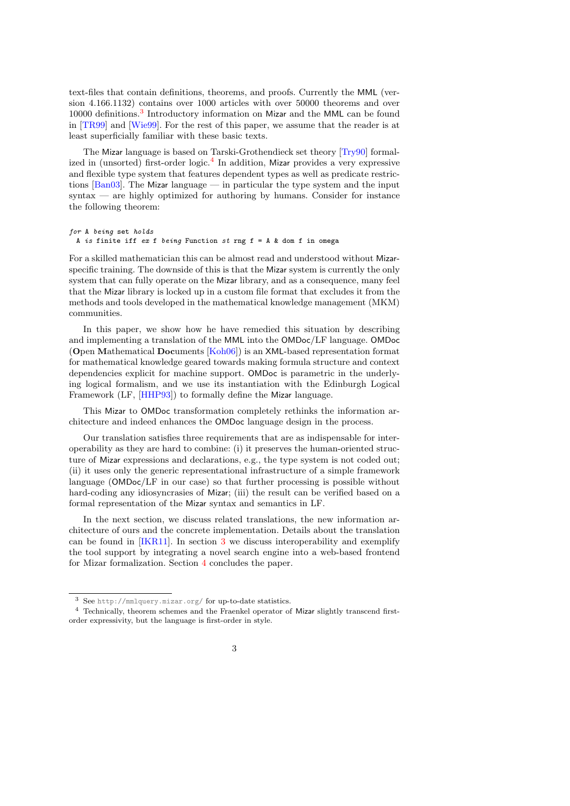text-files that contain definitions, theorems, and proofs. Currently the MML (version 4.166.1132) contains over 1000 articles with over 50000 theorems and over 10000 definitions.<sup>[3](#page-2-0)</sup> Introductory information on Mizar and the MML can be found in [\[TR99\]](#page-11-1) and [\[Wie99\]](#page-11-2). For the rest of this paper, we assume that the reader is at least superficially familiar with these basic texts.

The Mizar language is based on Tarski-Grothendieck set theory [\[Try90\]](#page-11-3) formal-ized in (unsorted) first-order logic.<sup>[4](#page-2-1)</sup> In addition, Mizar provides a very expressive and flexible type system that features dependent types as well as predicate restrictions [\[Ban03\]](#page-10-0). The Mizar language — in particular the type system and the input syntax — are highly optimized for authoring by humans. Consider for instance the following theorem:

```
for A being set holds
```

```
A is finite iff ex f being Function st rng f = A & dom f in omega
```
For a skilled mathematician this can be almost read and understood without Mizarspecific training. The downside of this is that the Mizar system is currently the only system that can fully operate on the Mizar library, and as a consequence, many feel that the Mizar library is locked up in a custom file format that excludes it from the methods and tools developed in the mathematical knowledge management (MKM) communities.

In this paper, we show how he have remedied this situation by describing and implementing a translation of the MML into the OMDoc/LF language. OMDoc (Open Mathematical Documents [\[Koh06\]](#page-11-4)) is an XML-based representation format for mathematical knowledge geared towards making formula structure and context dependencies explicit for machine support. OMDoc is parametric in the underlying logical formalism, and we use its instantiation with the Edinburgh Logical Framework (LF, [\[HHP93\]](#page-11-5)) to formally define the Mizar language.

This Mizar to OMDoc transformation completely rethinks the information architecture and indeed enhances the OMDoc language design in the process.

Our translation satisfies three requirements that are as indispensable for interoperability as they are hard to combine: (i) it preserves the human-oriented structure of Mizar expressions and declarations, e.g., the type system is not coded out; (ii) it uses only the generic representational infrastructure of a simple framework language (OMDoc/LF in our case) so that further processing is possible without hard-coding any idiosyncrasies of Mizar; (iii) the result can be verified based on a formal representation of the Mizar syntax and semantics in LF.

In the next section, we discuss related translations, the new information architecture of ours and the concrete implementation. Details about the translation can be found in [\[IKR11\]](#page-11-6). In section [3](#page-7-0) we discuss interoperability and exemplify the tool support by integrating a novel search engine into a web-based frontend for Mizar formalization. Section [4](#page-9-0) concludes the paper.

<span id="page-2-0"></span><sup>3</sup> See <http://mmlquery.mizar.org/> for up-to-date statistics.

<span id="page-2-1"></span><sup>4</sup> Technically, theorem schemes and the Fraenkel operator of Mizar slightly transcend firstorder expressivity, but the language is first-order in style.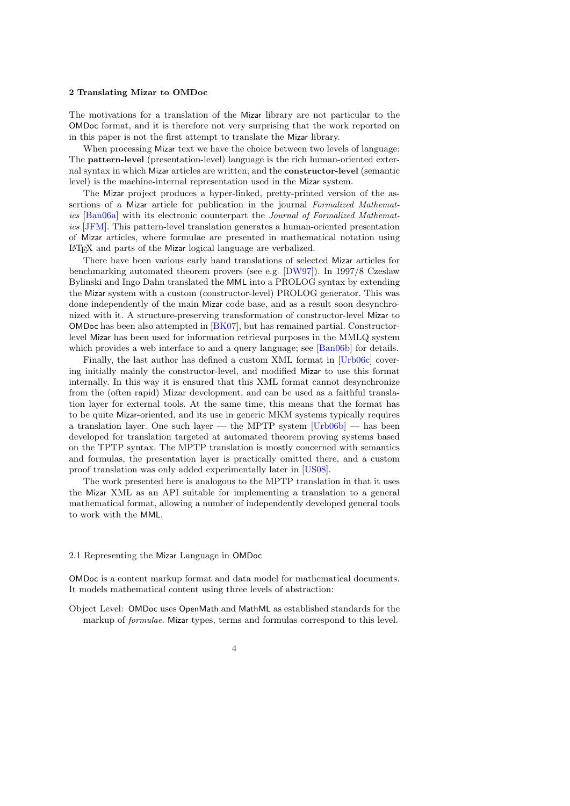#### 2 Translating Mizar to OMDoc

The motivations for a translation of the Mizar library are not particular to the OMDoc format, and it is therefore not very surprising that the work reported on in this paper is not the first attempt to translate the Mizar library.

When processing Mizar text we have the choice between two levels of language: The pattern-level (presentation-level) language is the rich human-oriented external syntax in which Mizar articles are written; and the constructor-level (semantic level) is the machine-internal representation used in the Mizar system.

The Mizar project produces a hyper-linked, pretty-printed version of the assertions of a Mizar article for publication in the journal Formalized Mathematics [\[Ban06a\]](#page-10-1) with its electronic counterpart the Journal of Formalized Mathematics [\[JFM\]](#page-11-7). This pattern-level translation generates a human-oriented presentation of Mizar articles, where formulae are presented in mathematical notation using LATEX and parts of the Mizar logical language are verbalized.

There have been various early hand translations of selected Mizar articles for benchmarking automated theorem provers (see e.g. [\[DW97\]](#page-11-8)). In 1997/8 Czeslaw Bylinski and Ingo Dahn translated the MML into a PROLOG syntax by extending the Mizar system with a custom (constructor-level) PROLOG generator. This was done independently of the main Mizar code base, and as a result soon desynchronized with it. A structure-preserving transformation of constructor-level Mizar to OMDoc has been also attempted in [\[BK07\]](#page-11-9), but has remained partial. Constructorlevel Mizar has been used for information retrieval purposes in the MMLQ system which provides a web interface to and a query language; see [\[Ban06b\]](#page-11-10) for details.

Finally, the last author has defined a custom XML format in [\[Urb06c\]](#page-11-11) covering initially mainly the constructor-level, and modified Mizar to use this format internally. In this way it is ensured that this XML format cannot desynchronize from the (often rapid) Mizar development, and can be used as a faithful translation layer for external tools. At the same time, this means that the format has to be quite Mizar-oriented, and its use in generic MKM systems typically requires a translation layer. One such layer — the MPTP system  $[Urban]$  — has been developed for translation targeted at automated theorem proving systems based on the TPTP syntax. The MPTP translation is mostly concerned with semantics and formulas, the presentation layer is practically omitted there, and a custom proof translation was only added experimentally later in [\[US08\]](#page-11-13).

The work presented here is analogous to the MPTP translation in that it uses the Mizar XML as an API suitable for implementing a translation to a general mathematical format, allowing a number of independently developed general tools to work with the MML.

## 2.1 Representing the Mizar Language in OMDoc

OMDoc is a content markup format and data model for mathematical documents. It models mathematical content using three levels of abstraction:

Object Level: OMDoc uses OpenMath and MathML as established standards for the markup of *formulae*. Mizar types, terms and formulas correspond to this level.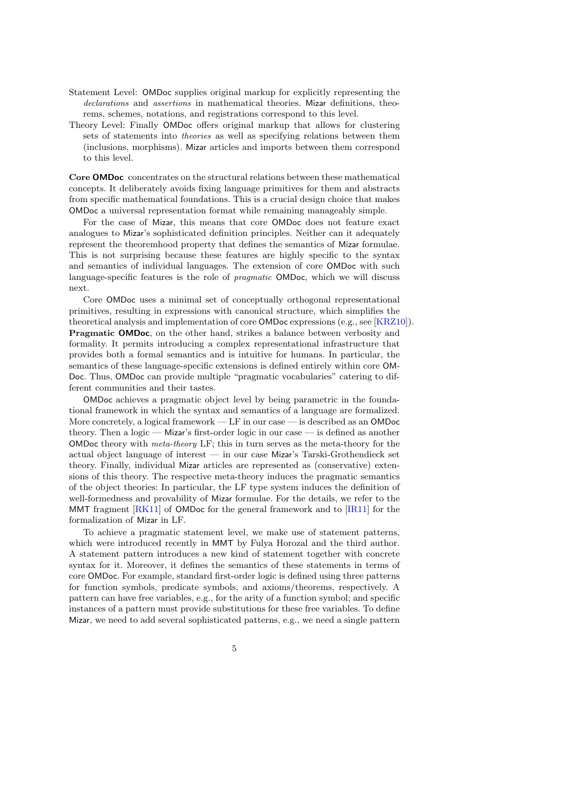- Statement Level: OMDoc supplies original markup for explicitly representing the declarations and assertions in mathematical theories. Mizar definitions, theorems, schemes, notations, and registrations correspond to this level.
- Theory Level: Finally OMDoc offers original markup that allows for clustering sets of statements into theories as well as specifying relations between them (inclusions, morphisms). Mizar articles and imports between them correspond to this level.

Core OMDoc concentrates on the structural relations between these mathematical concepts. It deliberately avoids fixing language primitives for them and abstracts from specific mathematical foundations. This is a crucial design choice that makes OMDoc a universal representation format while remaining manageably simple.

For the case of Mizar, this means that core OMDoc does not feature exact analogues to Mizar's sophisticated definition principles. Neither can it adequately represent the theoremhood property that defines the semantics of Mizar formulae. This is not surprising because these features are highly specific to the syntax and semantics of individual languages. The extension of core OMDoc with such language-specific features is the role of pragmatic OMDoc, which we will discuss next.

Core OMDoc uses a minimal set of conceptually orthogonal representational primitives, resulting in expressions with canonical structure, which simplifies the theoretical analysis and implementation of core OMDoc expressions (e.g., see [\[KRZ10\]](#page-11-14)). Pragmatic OMDoc, on the other hand, strikes a balance between verbosity and formality. It permits introducing a complex representational infrastructure that provides both a formal semantics and is intuitive for humans. In particular, the semantics of these language-specific extensions is defined entirely within core OM-Doc. Thus, OMDoc can provide multiple "pragmatic vocabularies" catering to different communities and their tastes.

OMDoc achieves a pragmatic object level by being parametric in the foundational framework in which the syntax and semantics of a language are formalized. More concretely, a logical framework — LF in our case — is described as an OMDoc theory. Then a logic — Mizar's first-order logic in our case — is defined as another OMDoc theory with meta-theory LF; this in turn serves as the meta-theory for the actual object language of interest — in our case Mizar's Tarski-Grothendieck set theory. Finally, individual Mizar articles are represented as (conservative) extensions of this theory. The respective meta-theory induces the pragmatic semantics of the object theories: In particular, the LF type system induces the definition of well-formedness and provability of Mizar formulae. For the details, we refer to the MMT fragment  $[RK11]$  of OMDoc for the general framework and to  $[IR11]$  for the formalization of Mizar in LF.

To achieve a pragmatic statement level, we make use of statement patterns, which were introduced recently in MMT by Fulya Horozal and the third author. A statement pattern introduces a new kind of statement together with concrete syntax for it. Moreover, it defines the semantics of these statements in terms of core OMDoc. For example, standard first-order logic is defined using three patterns for function symbols, predicate symbols, and axioms/theorems, respectively. A pattern can have free variables, e.g., for the arity of a function symbol; and specific instances of a pattern must provide substitutions for these free variables. To define Mizar, we need to add several sophisticated patterns, e.g., we need a single pattern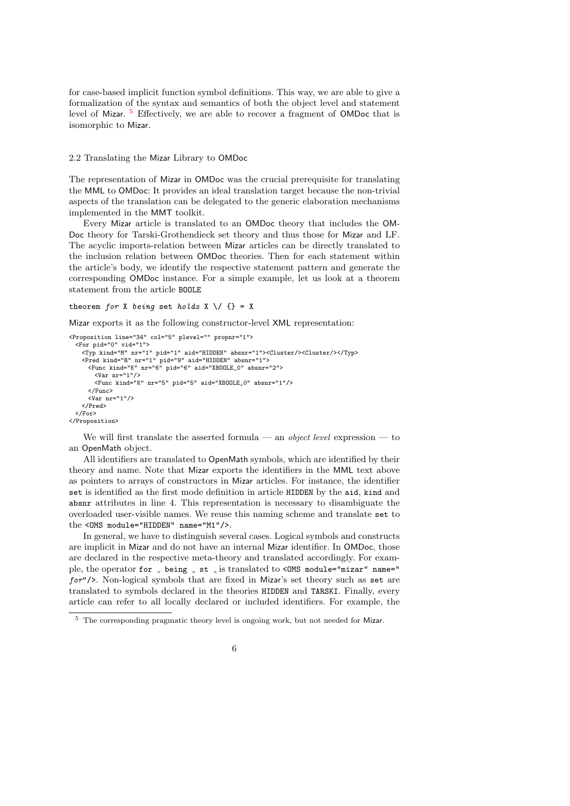for case-based implicit function symbol definitions. This way, we are able to give a formalization of the syntax and semantics of both the object level and statement level of Mizar.<sup>[5](#page-5-0)</sup> Effectively, we are able to recover a fragment of OMDoc that is isomorphic to Mizar.

#### 2.2 Translating the Mizar Library to OMDoc

The representation of Mizar in OMDoc was the crucial prerequisite for translating the MML to OMDoc: It provides an ideal translation target because the non-trivial aspects of the translation can be delegated to the generic elaboration mechanisms implemented in the MMT toolkit.

Every Mizar article is translated to an OMDoc theory that includes the OM-Doc theory for Tarski-Grothendieck set theory and thus those for Mizar and LF. The acyclic imports-relation between Mizar articles can be directly translated to the inclusion relation between OMDoc theories. Then for each statement within the article's body, we identify the respective statement pattern and generate the corresponding OMDoc instance. For a simple example, let us look at a theorem statement from the article BOOLE

# theorem for X being set holds  $X \setminus \{ \} = X$

Mizar exports it as the following constructor-level XML representation:

```
<Proposition line="34" col="5" plevel="" propnr="1">
  <For pid="0" vid="1">
<Typ kind="M" nr="1" pid="1" aid="HIDDEN" absnr="1"><Cluster/><Cluster/></Typ>
    <Pred kind="R" nr="1" pid="9" aid="HIDDEN" absnr="1">
<Func kind="K" nr="6" pid="6" aid="XBOOLE_0" absnr="2">
        <Var nr="1"/>
         <Func kind="K" nr="5" pid="5" aid="XBOOLE_0" absnr="1"/>
      </Func>
      <Var nr="1"/>
    </Pred>
  </For>
</Proposition>
```
We will first translate the asserted formula — an *object level* expression — to an OpenMath object.

All identifiers are translated to OpenMath symbols, which are identified by their theory and name. Note that Mizar exports the identifiers in the MML text above as pointers to arrays of constructors in Mizar articles. For instance, the identifier set is identified as the first mode definition in article HIDDEN by the aid, kind and absnr attributes in line 4. This representation is necessary to disambiguate the overloaded user-visible names. We reuse this naming scheme and translate set to the <OMS module="HIDDEN" name="M1"/>.

In general, we have to distinguish several cases. Logical symbols and constructs are implicit in Mizar and do not have an internal Mizar identifier. In OMDoc, those are declared in the respective meta-theory and translated accordingly. For example, the operator for  $\overline{\ }$  being  $\overline{\ }$  st  $\overline{\ }$  is translated to <OMS module="mizar" name=" for"/>. Non-logical symbols that are fixed in Mizar's set theory such as set are translated to symbols declared in the theories HIDDEN and TARSKI. Finally, every article can refer to all locally declared or included identifiers. For example, the

<span id="page-5-0"></span><sup>5</sup> The corresponding pragmatic theory level is ongoing work, but not needed for Mizar.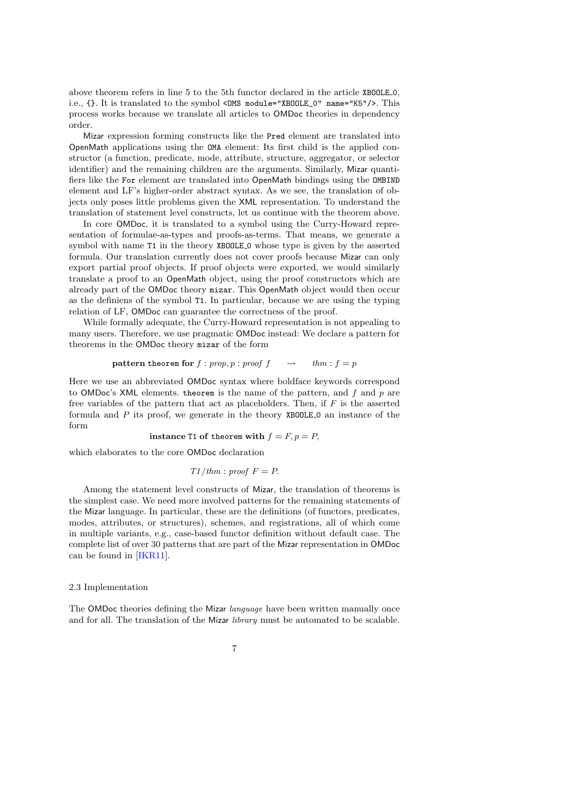above theorem refers in line 5 to the 5th functor declared in the article XBOOLE\_0, i.e., {}. It is translated to the symbol <OMS module="XBOOLE\_0" name="K5"/>. This process works because we translate all articles to OMDoc theories in dependency order.

Mizar expression forming constructs like the Pred element are translated into OpenMath applications using the OMA element: Its first child is the applied constructor (a function, predicate, mode, attribute, structure, aggregator, or selector identifier) and the remaining children are the arguments. Similarly, Mizar quantifiers like the For element are translated into OpenMath bindings using the OMBIND element and LF's higher-order abstract syntax. As we see, the translation of objects only poses little problems given the XML representation. To understand the translation of statement level constructs, let us continue with the theorem above.

In core OMDoc, it is translated to a symbol using the Curry-Howard representation of formulae-as-types and proofs-as-terms. That means, we generate a symbol with name T1 in the theory XBOOLE 0 whose type is given by the asserted formula. Our translation currently does not cover proofs because Mizar can only export partial proof objects. If proof objects were exported, we would similarly translate a proof to an OpenMath object, using the proof constructors which are already part of the OMDoc theory mizar. This OpenMath object would then occur as the definiens of the symbol T1. In particular, because we are using the typing relation of LF, OMDoc can guarantee the correctness of the proof.

While formally adequate, the Curry-Howard representation is not appealing to many users. Therefore, we use pragmatic OMDoc instead: We declare a pattern for theorems in the OMDoc theory mizar of the form

$$
pattern theorem for f: prop, p: proof f \longrightarrow thm: f = p
$$

Here we use an abbreviated OMDoc syntax where boldface keywords correspond to OMDoc's XML elements. theorem is the name of the pattern, and  $f$  and  $p$  are free variables of the pattern that act as placeholders. Then, if  $F$  is the asserted formula and  $P$  its proof, we generate in the theory XBOOLE  $\circ$  an instance of the form

instance T1 of theorem with  $f = F, p = P$ ,

which elaborates to the core OMDoc declaration

$$
T1 / thm : proof F = P.
$$

Among the statement level constructs of Mizar, the translation of theorems is the simplest case. We need more involved patterns for the remaining statements of the Mizar language. In particular, these are the definitions (of functors, predicates, modes, attributes, or structures), schemes, and registrations, all of which come in multiple variants, e.g., case-based functor definition without default case. The complete list of over 30 patterns that are part of the Mizar representation in OMDoc can be found in [\[IKR11\]](#page-11-6).

#### <span id="page-6-0"></span>2.3 Implementation

The OMDoc theories defining the Mizar language have been written manually once and for all. The translation of the Mizar library must be automated to be scalable.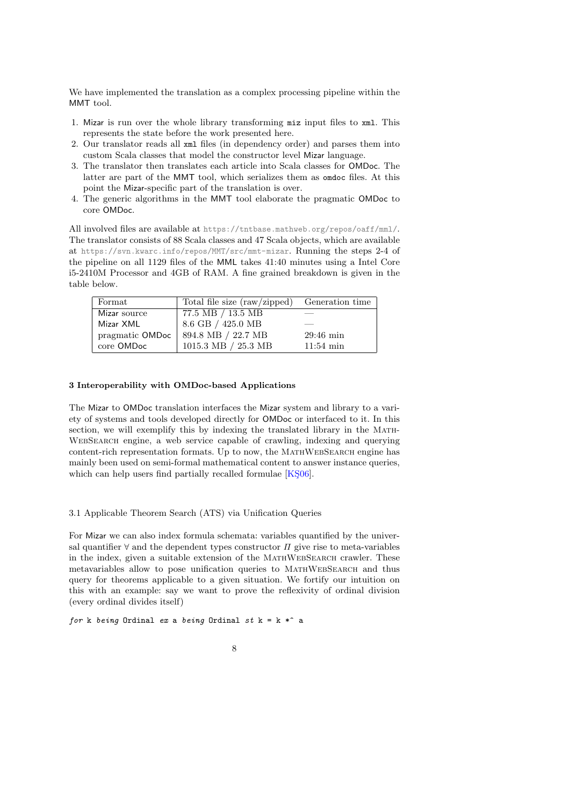We have implemented the translation as a complex processing pipeline within the MMT tool.

- 1. Mizar is run over the whole library transforming miz input files to xml. This represents the state before the work presented here.
- 2. Our translator reads all xml files (in dependency order) and parses them into custom Scala classes that model the constructor level Mizar language.
- 3. The translator then translates each article into Scala classes for OMDoc. The latter are part of the MMT tool, which serializes them as omdoc files. At this point the Mizar-specific part of the translation is over.
- 4. The generic algorithms in the MMT tool elaborate the pragmatic OMDoc to core OMDoc.

All involved files are available at <https://tntbase.mathweb.org/repos/oaff/mml/>. The translator consists of 88 Scala classes and 47 Scala objects, which are available at <https://svn.kwarc.info/repos/MMT/src/mmt-mizar>. Running the steps 2-4 of the pipeline on all 1129 files of the MML takes 41:40 minutes using a Intel Core i5-2410M Processor and 4GB of RAM. A fine grained breakdown is given in the table below.

| Format          | Total file size (raw/zipped) | Generation time     |
|-----------------|------------------------------|---------------------|
| Mizar source    | 77.5 MB / 13.5 MB            |                     |
| Mizar XML       | 8.6 GB / 425.0 MB            |                     |
| pragmatic OMDoc | 894.8 MB / 22.7 MB           | $29:46 \text{ min}$ |
| core OMDoc      | $1015.3$ MB $/$ $25.3$ MB    | $11:54 \text{ min}$ |

## <span id="page-7-0"></span>3 Interoperability with OMDoc-based Applications

The Mizar to OMDoc translation interfaces the Mizar system and library to a variety of systems and tools developed directly for OMDoc or interfaced to it. In this section, we will exemplify this by indexing the translated library in the Math-WebSearch engine, a web service capable of crawling, indexing and querying content-rich representation formats. Up to now, the MATHWEBSEARCH engine has mainly been used on semi-formal mathematical content to answer instance queries, which can help users find partially recalled formulae  $[K$06]$ .

# 3.1 Applicable Theorem Search (ATS) via Unification Queries

For Mizar we can also index formula schemata: variables quantified by the universal quantifier  $\forall$  and the dependent types constructor  $\Pi$  give rise to meta-variables in the index, given a suitable extension of the MATHWEBSEARCH crawler. These metavariables allow to pose unification queries to MathWebSearch and thus query for theorems applicable to a given situation. We fortify our intuition on this with an example: say we want to prove the reflexivity of ordinal division (every ordinal divides itself)

for k being Ordinal ex a being Ordinal st  $k = k *^*$  a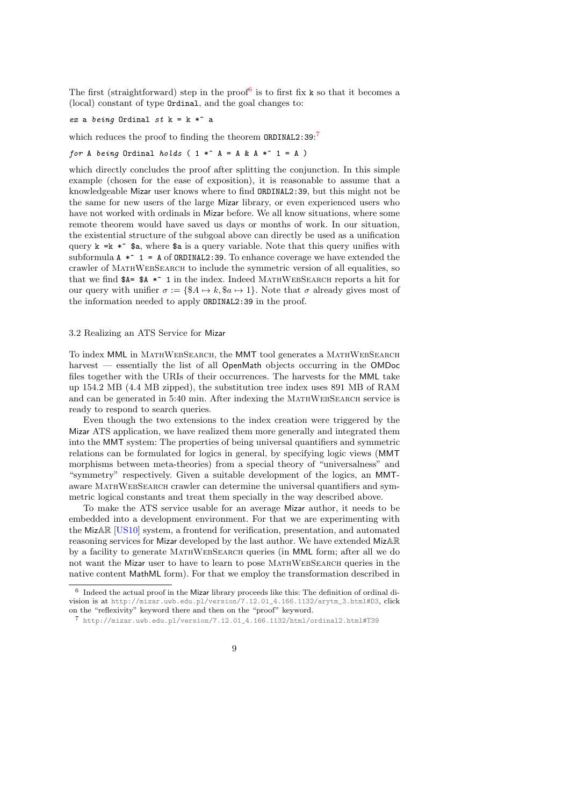The first (straightforward) step in the proof  $6$  is to first fix k so that it becomes a (local) constant of type Ordinal, and the goal changes to:

ex a being Ordinal st  $k = k *^*$  a

which reduces the proof to finding the theorem ORDINAL2:39:<sup>[7](#page-8-1)</sup>

for A being Ordinal holds (  $1 *^* A = A \& A *^* 1 = A$  )

which directly concludes the proof after splitting the conjunction. In this simple example (chosen for the ease of exposition), it is reasonable to assume that a knowledgeable Mizar user knows where to find ORDINAL2:39, but this might not be the same for new users of the large Mizar library, or even experienced users who have not worked with ordinals in Mizar before. We all know situations, where some remote theorem would have saved us days or months of work. In our situation, the existential structure of the subgoal above can directly be used as a unification query  $k = k *^*$  \$a, where \$a is a query variable. Note that this query unifies with subformula  $A *^ 1 = A$  of ORDINAL2:39. To enhance coverage we have extended the crawler of MathWebSearch to include the symmetric version of all equalities, so that we find  $A = A *^ 1$  in the index. Indeed MATHWEBSEARCH reports a hit for our query with unifier  $\sigma := {\S A \mapsto k, \S a \mapsto 1}$ . Note that  $\sigma$  already gives most of the information needed to apply ORDINAL2:39 in the proof.

### 3.2 Realizing an ATS Service for Mizar

To index MML in MathWebSearch, the MMT tool generates a MathWebSearch harvest — essentially the list of all OpenMath objects occurring in the OMDoc files together with the URIs of their occurrences. The harvests for the MML take up 154.2 MB (4.4 MB zipped), the substitution tree index uses 891 MB of RAM and can be generated in 5:40 min. After indexing the MATHWEBSEARCH service is ready to respond to search queries.

Even though the two extensions to the index creation were triggered by the Mizar ATS application, we have realized them more generally and integrated them into the MMT system: The properties of being universal quantifiers and symmetric relations can be formulated for logics in general, by specifying logic views (MMT morphisms between meta-theories) from a special theory of "universalness" and "symmetry" respectively. Given a suitable development of the logics, an MMTaware MathWebSearch crawler can determine the universal quantifiers and symmetric logical constants and treat them specially in the way described above.

To make the ATS service usable for an average Mizar author, it needs to be embedded into a development environment. For that we are experimenting with the MizAR [\[US10\]](#page-11-18) system, a frontend for verification, presentation, and automated reasoning services for Mizar developed by the last author. We have extended MizAR by a facility to generate MathWebSearch queries (in MML form; after all we do not want the Mizar user to have to learn to pose MathWebSearch queries in the native content MathML form). For that we employ the transformation described in

<span id="page-8-0"></span><sup>&</sup>lt;sup>6</sup> Indeed the actual proof in the Mizar library proceeds like this: The definition of ordinal division is at [http://mizar.uwb.edu.pl/version/7.12.01\\_4.166.1132/arytm\\_3.html#D3](http://mizar.uwb.edu.pl/version/7.12.01_4.166.1132/arytm_3.html#D3), click on the "reflexivity" keyword there and then on the "proof" keyword.

<span id="page-8-1"></span><sup>7</sup> [http://mizar.uwb.edu.pl/version/7.12.01\\_4.166.1132/html/ordinal2.html#T39](http://mizar.uwb.edu.pl/version/7.12.01_4.166.1132/html/ordinal2.html#T39)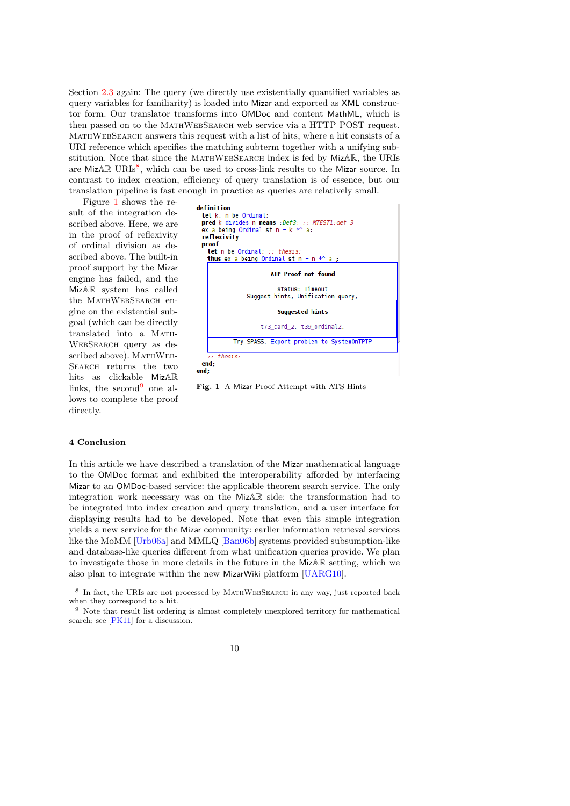Section [2.3](#page-6-0) again: The query (we directly use existentially quantified variables as query variables for familiarity) is loaded into Mizar and exported as XML constructor form. Our translator transforms into OMDoc and content MathML, which is then passed on to the MathWebSearch web service via a HTTP POST request. MathWebSearch answers this request with a list of hits, where a hit consists of a URI reference which specifies the matching subterm together with a unifying substitution. Note that since the MathWebSearch index is fed by MizAR, the URIs are MizAR URIs<sup>[8](#page-9-1)</sup>, which can be used to cross-link results to the Mizar source. In contrast to index creation, efficiency of query translation is of essence, but our translation pipeline is fast enough in practice as queries are relatively small.

Figure [1](#page-9-2) shows the result of the integration described above. Here, we are in the proof of reflexivity of ordinal division as described above. The built-in proof support by the Mizar engine has failed, and the MizAR system has called the MATHWEBSEARCH engine on the existential subgoal (which can be directly translated into a Math-WEBSEARCH query as described above). MATHWEB-SEARCH returns the two hits as clickable MizAR links, the second<sup>[9](#page-9-3)</sup> one allows to complete the proof directly.



<span id="page-9-2"></span>Fig. 1 A Mizar Proof Attempt with ATS Hints

#### <span id="page-9-0"></span>4 Conclusion

In this article we have described a translation of the Mizar mathematical language to the OMDoc format and exhibited the interoperability afforded by interfacing Mizar to an OMDoc-based service: the applicable theorem search service. The only integration work necessary was on the MizAR side: the transformation had to be integrated into index creation and query translation, and a user interface for displaying results had to be developed. Note that even this simple integration yields a new service for the Mizar community: earlier information retrieval services like the MoMM [\[Urb06a\]](#page-11-19) and MMLQ [\[Ban06b\]](#page-11-10) systems provided subsumption-like and database-like queries different from what unification queries provide. We plan to investigate those in more details in the future in the MizAR setting, which we also plan to integrate within the new MizarWiki platform [\[UARG10\]](#page-11-20).

<span id="page-9-1"></span><sup>8</sup> In fact, the URIs are not processed by MathWebSearch in any way, just reported back when they correspond to a hit.

<span id="page-9-3"></span> $9\,$  Note that result list ordering is almost completely unexplored territory for mathematical search; see [\[PK11\]](#page-11-21) for a discussion.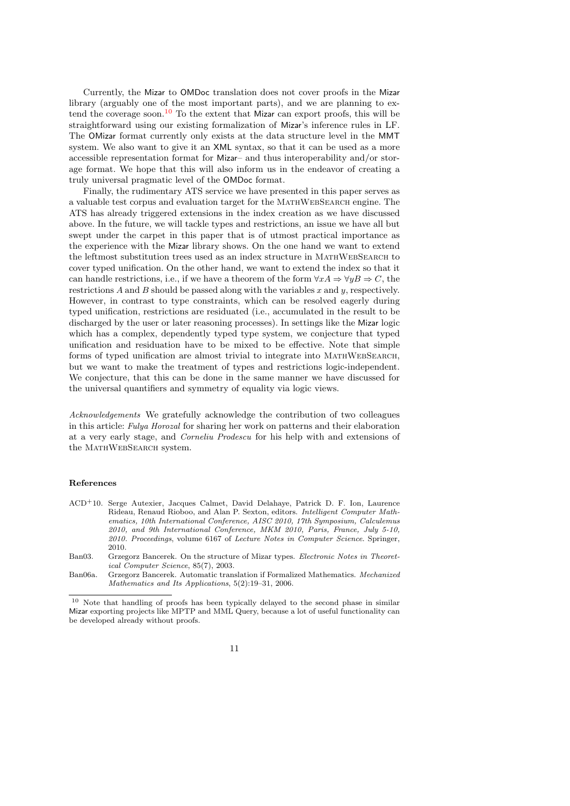Currently, the Mizar to OMDoc translation does not cover proofs in the Mizar library (arguably one of the most important parts), and we are planning to ex-tend the coverage soon.<sup>[10](#page-10-2)</sup> To the extent that Mizar can export proofs, this will be straightforward using our existing formalization of Mizar's inference rules in LF. The OMizar format currently only exists at the data structure level in the MMT system. We also want to give it an XML syntax, so that it can be used as a more accessible representation format for Mizar– and thus interoperability and/or storage format. We hope that this will also inform us in the endeavor of creating a truly universal pragmatic level of the OMDoc format.

Finally, the rudimentary ATS service we have presented in this paper serves as a valuable test corpus and evaluation target for the MathWebSearch engine. The ATS has already triggered extensions in the index creation as we have discussed above. In the future, we will tackle types and restrictions, an issue we have all but swept under the carpet in this paper that is of utmost practical importance as the experience with the Mizar library shows. On the one hand we want to extend the leftmost substitution trees used as an index structure in MathWebSearch to cover typed unification. On the other hand, we want to extend the index so that it can handle restrictions, i.e., if we have a theorem of the form  $\forall x A \Rightarrow \forall y B \Rightarrow C$ , the restrictions A and B should be passed along with the variables x and  $y$ , respectively. However, in contrast to type constraints, which can be resolved eagerly during typed unification, restrictions are residuated (i.e., accumulated in the result to be discharged by the user or later reasoning processes). In settings like the Mizar logic which has a complex, dependently typed type system, we conjecture that typed unification and residuation have to be mixed to be effective. Note that simple forms of typed unification are almost trivial to integrate into MATHWEBSEARCH, but we want to make the treatment of types and restrictions logic-independent. We conjecture, that this can be done in the same manner we have discussed for the universal quantifiers and symmetry of equality via logic views.

Acknowledgements We gratefully acknowledge the contribution of two colleagues in this article: Fulya Horozal for sharing her work on patterns and their elaboration at a very early stage, and Corneliu Prodescu for his help with and extensions of the MATHWEBSEARCH system.

#### References

- <span id="page-10-3"></span>ACD+10. Serge Autexier, Jacques Calmet, David Delahaye, Patrick D. F. Ion, Laurence Rideau, Renaud Rioboo, and Alan P. Sexton, editors. Intelligent Computer Mathematics, 10th International Conference, AISC 2010, 17th Symposium, Calculemus 2010, and 9th International Conference, MKM 2010, Paris, France, July 5-10, 2010. Proceedings, volume 6167 of Lecture Notes in Computer Science. Springer, 2010.
- <span id="page-10-0"></span>Ban03. Grzegorz Bancerek. On the structure of Mizar types. Electronic Notes in Theoretical Computer Science, 85(7), 2003.
- <span id="page-10-1"></span>Ban06a. Grzegorz Bancerek. Automatic translation if Formalized Mathematics. Mechanized Mathematics and Its Applications, 5(2):19–31, 2006.

<span id="page-10-2"></span><sup>10</sup> Note that handling of proofs has been typically delayed to the second phase in similar Mizar exporting projects like MPTP and MML Query, because a lot of useful functionality can be developed already without proofs.